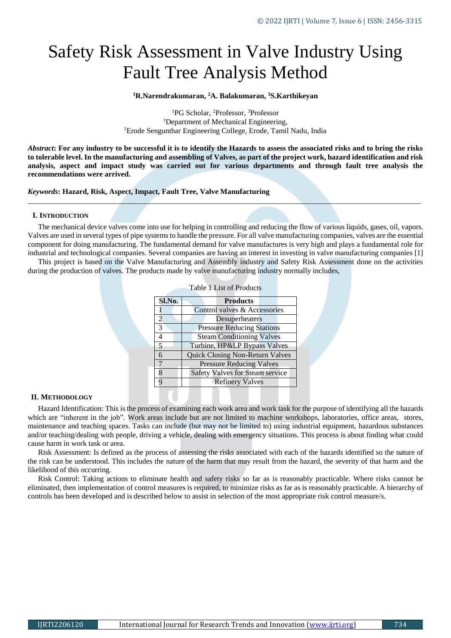# Safety Risk Assessment in Valve Industry Using Fault Tree Analysis Method

**<sup>1</sup>R.Narendrakumaran, <sup>2</sup>A. Balakumaran, <sup>3</sup>S.Karthikeyan**

<sup>1</sup>PG Scholar, <sup>2</sup>Professor, <sup>3</sup>Professor <sup>1</sup>Department of Mechanical Engineering, <sup>1</sup>Erode Sengunthar Engineering College, Erode, Tamil Nadu, India

*Abstract***: For any industry to be successful it is to identify the Hazards to assess the associated risks and to bring the risks to tolerable level. In the manufacturing and assembling of Valves, as part of the project work, hazard identification and risk analysis, aspect and impact study was carried out for various departments and through fault tree analysis the recommendations were arrived.** 

*\_\_\_\_\_\_\_\_\_\_\_\_\_\_\_\_\_\_\_\_\_\_\_\_\_\_\_\_\_\_\_\_\_\_\_\_\_\_\_\_\_\_\_\_\_\_\_\_\_\_\_\_\_\_\_\_\_\_\_\_\_\_\_\_\_\_\_\_\_\_\_\_\_\_\_\_\_\_\_\_\_\_\_\_\_\_\_\_\_\_\_\_\_\_\_\_\_\_\_\_\_\_\_\_*

## *Keywords***: Hazard, Risk, Aspect, Impact, Fault Tree, Valve Manufacturing**

## **I. INTRODUCTION**

The mechanical device valves come into use for helping in controlling and reducing the flow of various liquids, gases, oil, vapors. Valves are used in several types of pipe systems to handle the pressure. For all valve manufacturing companies, valves are the essential component for doing manufacturing. The fundamental demand for valve manufactures is very high and plays a fundamental role for industrial and technological companies. Several companies are having an interest in investing in valve manufacturing companies [1]

This project is based on the Valve Manufacturing and Assembly industry and Safety Risk Assessment done on the activities during the production of valves. The products made by valve manufacturing industry normally includes,

Table 1 List of Products

|  | Sl.No.        | <b>Products</b>                        |
|--|---------------|----------------------------------------|
|  |               | Control valves & Accessories           |
|  | $\mathcal{L}$ | Desuperheaters                         |
|  | $\mathcal{R}$ | <b>Pressure Reducing Stations</b>      |
|  | 4             | <b>Steam Conditioning Valves</b>       |
|  | 5             | Turbine, HP&LP Bypass Valves           |
|  | 6             | <b>Quick Closing Non-Return Valves</b> |
|  |               | <b>Pressure Reducing Valves</b>        |
|  | ዩ             | Safety Valves for Steam service        |
|  | q             | <b>Refinery Valves</b>                 |
|  |               |                                        |

#### **II. METHODOLOGY**

Hazard Identification: This is the process of examining each work area and work task for the purpose of identifying all the hazards which are "inherent in the job". Work areas include but are not limited to machine workshops, laboratories, office areas, stores, maintenance and teaching spaces. Tasks can include (but may not be limited to) using industrial equipment, hazardous substances and/or teaching/dealing with people, driving a vehicle, dealing with emergency situations. This process is about finding what could cause harm in work task or area.

Risk Assessment: Is defined as the process of assessing the risks associated with each of the hazards identified so the nature of the risk can be understood. This includes the nature of the harm that may result from the hazard, the severity of that harm and the likelihood of this occurring.

Risk Control: Taking actions to eliminate health and safety risks so far as is reasonably practicable. Where risks cannot be eliminated, then implementation of control measures is required, to minimize risks as far as is reasonably practicable. A hierarchy of controls has been developed and is described below to assist in selection of the most appropriate risk control measure/s.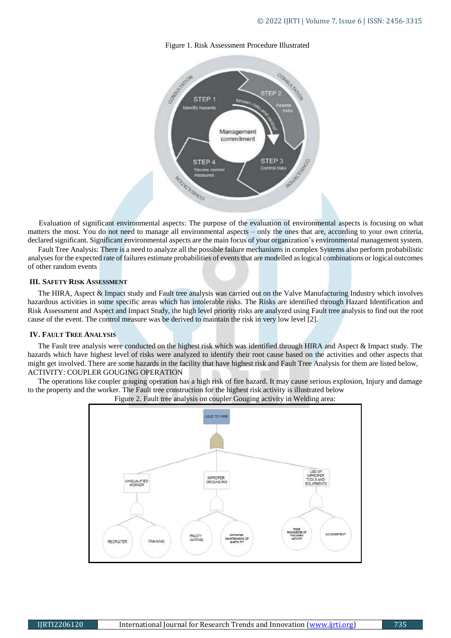## Figure 1. Risk Assessment Procedure Illustrated



Evaluation of significant environmental aspects: The purpose of the evaluation of environmental aspects is focusing on what matters the most. You do not need to manage all environmental aspects – only the ones that are, according to your own criteria, declared significant. Significant environmental aspects are the main focus of your organization's environmental management system.

Fault Tree Analysis: There is a need to analyze all the possible failure mechanisms in complex Systems also perform probabilistic analyses for the expected rate of failures estimate probabilities of events that are modelled as logical combinations or logical outcomes of other random events

#### **III. SAFETY RISK ASSESSMENT**

The HIRA, Aspect & Impact study and Fault tree analysis was carried out on the Valve Manufacturing Industry which involves hazardous activities in some specific areas which has intolerable risks. The Risks are identified through Hazard Identification and Risk Assessment and Aspect and Impact Study, the high level priority risks are analyzed using Fault tree analysis to find out the root cause of the event. The control measure was be derived to maintain the risk in very low level [2].

#### **IV. FAULT TREE ANALYSIS**

The Fault tree analysis were conducted on the highest risk which was identified through HIRA and Aspect & Impact study. The hazards which have highest level of risks were analyzed to identify their root cause based on the activities and other aspects that might get involved. There are some hazards in the facility that have highest risk and Fault Tree Analysis for them are listed below, ACTIVITY: COUPLER GOUGING OPERATION

The operations like coupler gouging operation has a high risk of fire hazard. It may cause serious explosion, Injury and damage to the property and the worker. The Fault tree construction for the highest risk activity is illustrated below



Figure 2. Fault tree analysis on coupler Gouging activity in Welding area: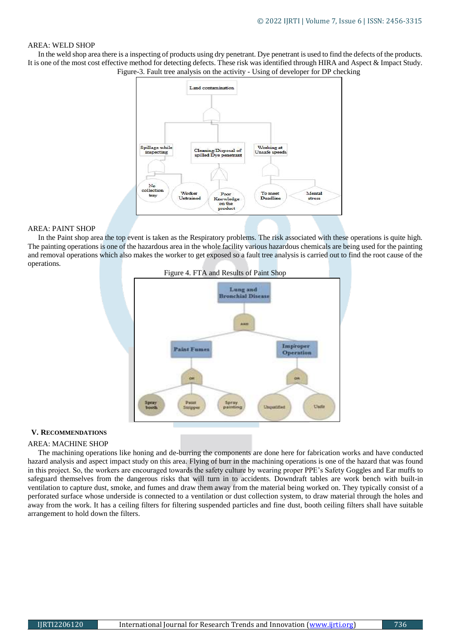## AREA: WELD SHOP

In the weld shop area there is a inspecting of products using dry penetrant. Dye penetrant is used to find the defects of the products. It is one of the most cost effective method for detecting defects. These risk was identified through HIRA and Aspect & Impact Study. Figure-3. Fault tree analysis on the activity - Using of developer for DP checking



# AREA: PAINT SHOP

In the Paint shop area the top event is taken as the Respiratory problems. The risk associated with these operations is quite high. The painting operations is one of the hazardous area in the whole facility various hazardous chemicals are being used for the painting and removal operations which also makes the worker to get exposed so a fault tree analysis is carried out to find the root cause of the operations.



#### **V. RECOMMENDATIONS**

#### AREA: MACHINE SHOP

The machining operations like honing and de-burring the components are done here for fabrication works and have conducted hazard analysis and aspect impact study on this area. Flying of burr in the machining operations is one of the hazard that was found in this project. So, the workers are encouraged towards the safety culture by wearing proper PPE's Safety Goggles and Ear muffs to safeguard themselves from the dangerous risks that will turn in to accidents. Downdraft tables are work bench with built-in ventilation to capture dust, smoke, and fumes and draw them away from the material being worked on. They typically consist of a perforated surface whose underside is connected to a [ventilation](https://en.wikipedia.org/wiki/Ventilation_(architecture)) or dust [collection](https://en.wikipedia.org/wiki/Dust_collection) system, to draw material through the holes and away from the work. It has a ceiling filters for filtering suspended particles and fine dust, booth ceiling filters shall have suitable arrangement to hold down the filters.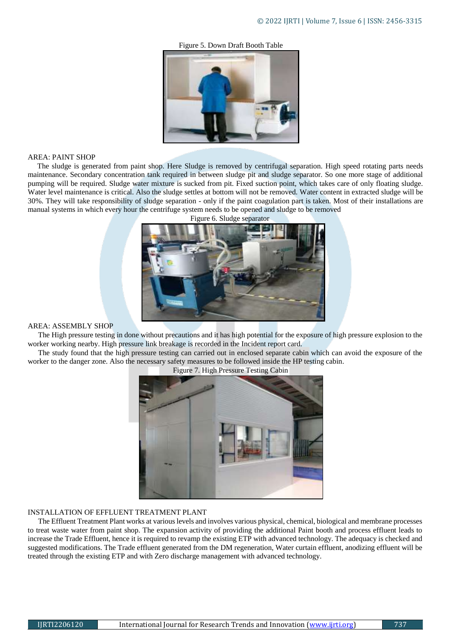Figure 5. Down Draft Booth Table



#### AREA: PAINT SHOP

The sludge is generated from paint shop. Here Sludge is removed by centrifugal separation. High speed rotating parts needs maintenance. Secondary concentration tank required in between sludge pit and sludge separator. So one more stage of additional pumping will be required. Sludge water mixture is sucked from pit. Fixed suction point, which takes care of only floating sludge. Water level maintenance is critical. Also the sludge settles at bottom will not be removed. Water content in extracted sludge will be 30%. They will take responsibility of sludge separation - only if the paint coagulation part is taken. Most of their installations are manual systems in which every hour the centrifuge system needs to be opened and sludge to be removed



Figure 6. Sludge separator

#### AREA: ASSEMBLY SHOP

The High pressure testing in done without precautions and it has high potential for the exposure of high pressure explosion to the worker working nearby. High pressure link breakage is recorded in the Incident report card.

The study found that the high pressure testing can carried out in enclosed separate cabin which can avoid the exposure of the worker to the danger zone. Also the necessary safety measures to be followed inside the HP testing cabin.



Figure 7. High Pressure Testing Cabin

## INSTALLATION OF EFFLUENT TREATMENT PLANT

The Effluent Treatment Plant works at various levels and involves various physical, chemical, biological and membrane processes to treat waste water from paint shop. The expansion activity of providing the additional Paint booth and process effluent leads to increase the Trade Effluent, hence it is required to revamp the existing ETP with advanced technology. The adequacy is checked and suggested modifications. The Trade effluent generated from the DM regeneration, Water curtain effluent, anodizing effluent will be treated through the existing ETP and with Zero discharge management with advanced technology.